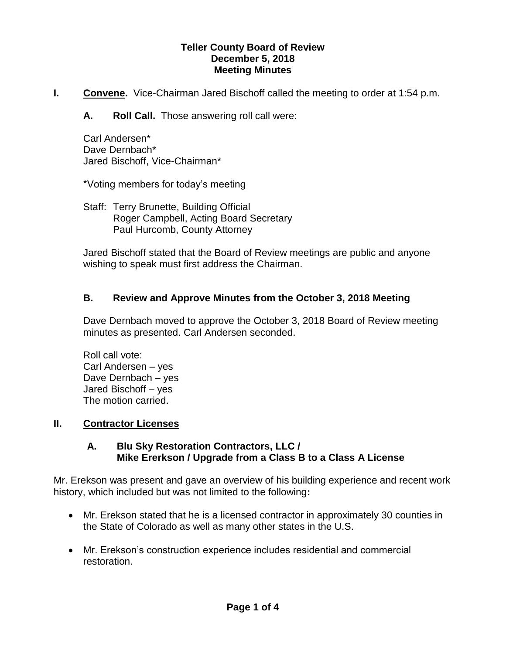#### **Teller County Board of Review December 5, 2018 Meeting Minutes**

- **I.** Convene. Vice-Chairman Jared Bischoff called the meeting to order at 1:54 p.m.
	- **A. Roll Call.** Those answering roll call were:

Carl Andersen\* Dave Dernbach\* Jared Bischoff, Vice-Chairman\*

\*Voting members for today's meeting

Staff: Terry Brunette, Building Official Roger Campbell, Acting Board Secretary Paul Hurcomb, County Attorney

Jared Bischoff stated that the Board of Review meetings are public and anyone wishing to speak must first address the Chairman.

# **B. Review and Approve Minutes from the October 3, 2018 Meeting**

Dave Dernbach moved to approve the October 3, 2018 Board of Review meeting minutes as presented. Carl Andersen seconded.

Roll call vote: Carl Andersen – yes Dave Dernbach – yes Jared Bischoff – yes The motion carried.

## **II. Contractor Licenses**

## **A. Blu Sky Restoration Contractors, LLC / Mike Ererkson / Upgrade from a Class B to a Class A License**

Mr. Erekson was present and gave an overview of his building experience and recent work history, which included but was not limited to the following**:**

- Mr. Erekson stated that he is a licensed contractor in approximately 30 counties in the State of Colorado as well as many other states in the U.S.
- Mr. Erekson's construction experience includes residential and commercial restoration.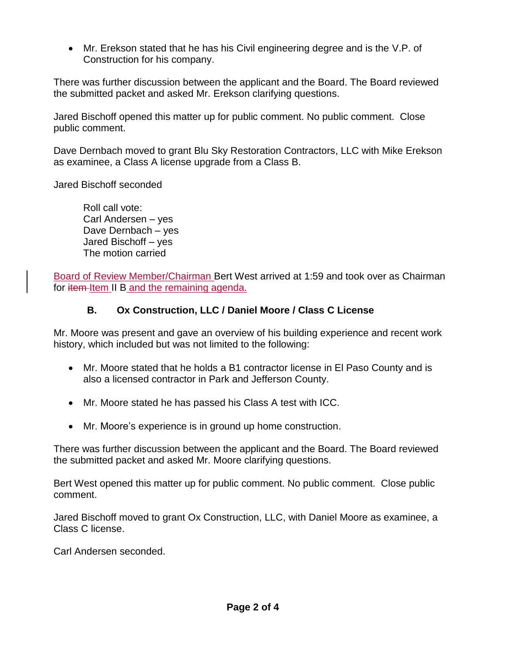Mr. Erekson stated that he has his Civil engineering degree and is the V.P. of Construction for his company.

There was further discussion between the applicant and the Board. The Board reviewed the submitted packet and asked Mr. Erekson clarifying questions.

Jared Bischoff opened this matter up for public comment. No public comment. Close public comment.

Dave Dernbach moved to grant Blu Sky Restoration Contractors, LLC with Mike Erekson as examinee, a Class A license upgrade from a Class B.

Jared Bischoff seconded

Roll call vote: Carl Andersen – yes Dave Dernbach – yes Jared Bischoff – yes The motion carried

Board of Review Member/Chairman Bert West arrived at 1:59 and took over as Chairman for item Item II B and the remaining agenda.

## **B. Ox Construction, LLC / Daniel Moore / Class C License**

Mr. Moore was present and gave an overview of his building experience and recent work history, which included but was not limited to the following:

- Mr. Moore stated that he holds a B1 contractor license in El Paso County and is also a licensed contractor in Park and Jefferson County.
- Mr. Moore stated he has passed his Class A test with ICC.
- Mr. Moore's experience is in ground up home construction.

There was further discussion between the applicant and the Board. The Board reviewed the submitted packet and asked Mr. Moore clarifying questions.

Bert West opened this matter up for public comment. No public comment. Close public comment.

Jared Bischoff moved to grant Ox Construction, LLC, with Daniel Moore as examinee, a Class C license.

Carl Andersen seconded.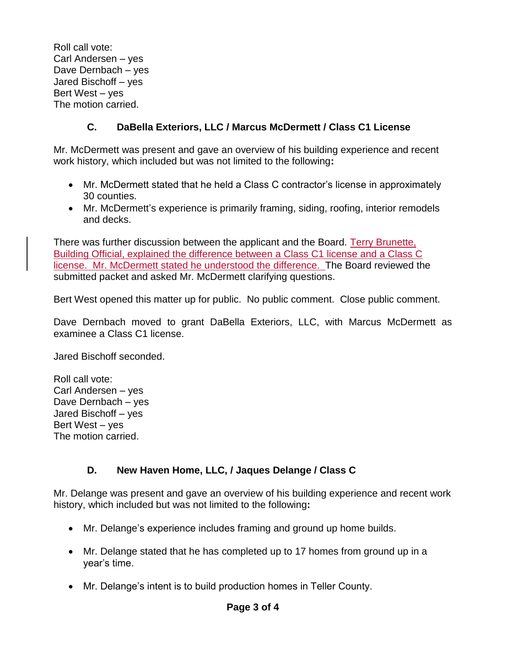Roll call vote: Carl Andersen – yes Dave Dernbach – yes Jared Bischoff – yes Bert West – yes The motion carried.

# **C. DaBella Exteriors, LLC / Marcus McDermett / Class C1 License**

Mr. McDermett was present and gave an overview of his building experience and recent work history, which included but was not limited to the following**:**

- Mr. McDermett stated that he held a Class C contractor's license in approximately 30 counties.
- Mr. McDermett's experience is primarily framing, siding, roofing, interior remodels and decks.

There was further discussion between the applicant and the Board. Terry Brunette, Building Official, explained the difference between a Class C1 license and a Class C license. Mr. McDermett stated he understood the difference. The Board reviewed the submitted packet and asked Mr. McDermett clarifying questions.

Bert West opened this matter up for public. No public comment. Close public comment.

Dave Dernbach moved to grant DaBella Exteriors, LLC, with Marcus McDermett as examinee a Class C1 license.

Jared Bischoff seconded.

Roll call vote: Carl Andersen – yes Dave Dernbach – yes Jared Bischoff – yes Bert West – yes The motion carried.

# **D. New Haven Home, LLC, / Jaques Delange / Class C**

Mr. Delange was present and gave an overview of his building experience and recent work history, which included but was not limited to the following**:**

- Mr. Delange's experience includes framing and ground up home builds.
- Mr. Delange stated that he has completed up to 17 homes from ground up in a year's time.
- Mr. Delange's intent is to build production homes in Teller County.